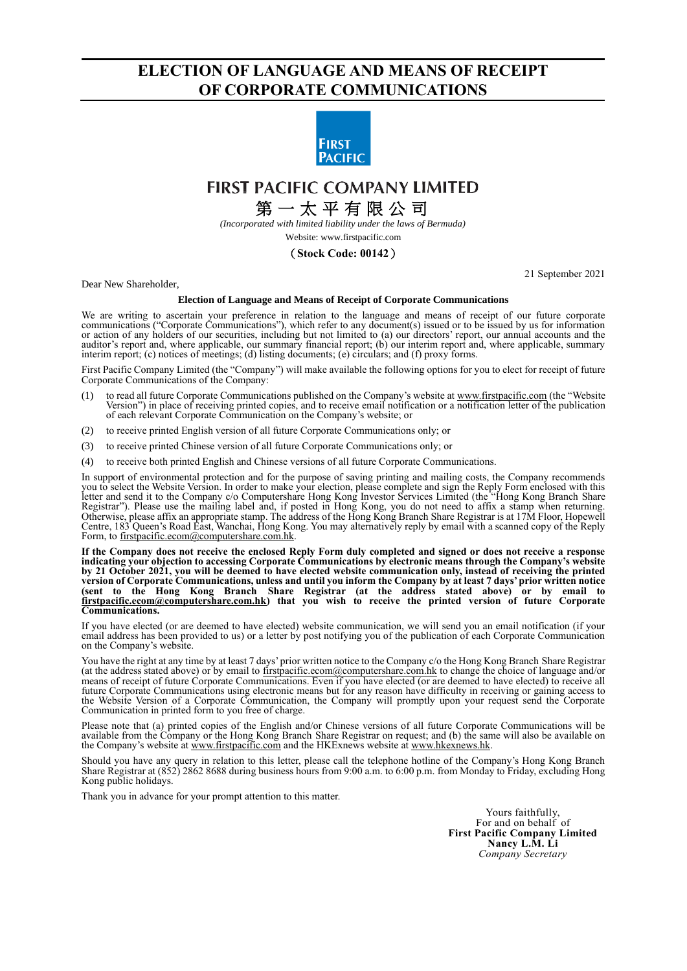# **ELECTION OF LANGUAGE AND MEANS OF RECEIPT OF CORPORATE COMMUNICATIONS**



## **FIRST PACIFIC COMPANY LIMITED**

# 第 一 太 平 有 限 公 司

*(Incorporated with limited liability under the laws of Bermuda)*

### Website: [www.firstpacific.com](http://www.firstpacific.com/)

### (**Stock Code: 00142**)

Dear New Shareholder,

#### 21 September 2021

### **Election of Language and Means of Receipt of Corporate Communications**

We are writing to ascertain your preference in relation to the language and means of receipt of our future corporate communications ("Corporate Communications"), which refer to any document(s) issued or to be issued by us for information or action of any holders of our securities, including but not limited to (a) our directors' report, our annual accounts and the auditor's report and, where applicable, our summary financial report; (b) our interim report and, where applicable, summary interim report; (c) notices of meetings; (d) listing documents; (e) circulars; and (f) proxy forms.

First Pacific Company Limited (the "Company") will make available the following options for you to elect for receipt of future Corporate Communications of the Company:

- (1) to read all future Corporate Communications published on the Company's website a[t www.firstpacific.com](http://www.firstpacific.com/) (the "Website Version") in place of receiving printed copies, and to receive email notification or a notification letter of the publication of each relevant Corporate Communication on the Company's website; or
- (2) to receive printed English version of all future Corporate Communications only; or
- (3) to receive printed Chinese version of all future Corporate Communications only; or
- (4) to receive both printed English and Chinese versions of all future Corporate Communications.

In support of environmental protection and for the purpose of saving printing and mailing costs, the Company recommends you to select the Website Version. In order to make your election, please complete and sign the Reply Form enclosed with this letter and send it to the Company c/o Computershare Hong Kong Investor Services Limited (the "Hong Kong Branch Share Registrar"). Please use the mailing label and, if posted in Hong Kong, you do not need to affix a stamp when returning. Otherwise, please affix an appropriate stamp. The address of the Hong Kong Branch Share Registrar is at 17M Floor, Hopewell Centre, 183 Queen's Road East, Wanchai, Hong Kong. You may alternatively reply by email with a scanned copy of the Reply Form, to [firstpacific.ecom@computershare.com.hk.](mailto:firstpacific.ecom@computershare.com.hk)

**If the Company does not receive the enclosed Reply Form duly completed and signed or does not receive a response indicating your objection to accessing Corporate Communications by electronic means through the Company's website by 21 October 2021, you will be deemed to have elected website communication only, instead of receiving the printed version of Corporate Communications, unless and until you inform the Company by at least 7 days' prior written notice (sent to the Hong Kong Branch Share Registrar (at the address stated above) or by email to [firstpacific.ecom@computershare.com.hk\)](mailto:firstpacific.ecom@computershare.com.hk) that you wish to receive the printed version of future Corporate Communications.**

If you have elected (or are deemed to have elected) website communication, we will send you an email notification (if your email address has been provided to us) or a letter by post notifying you of the publication of each Corporate Communication on the Company's website.

You have the right at any time by at least 7 days' prior written notice to the Company c/o the Hong Kong Branch Share Registrar (at the address stated above) or by email to *firstpacific.ecom@computershare.com.hk* to change the choice of language and/or means of receipt of future Corporate Communications. Even if you have elected (or are deemed to have elected) to receive all future Corporate Communications using electronic means but for any reason have difficulty in receiving or gaining access to the Website Version of a Corporate Communication, the Company will promptly upon your request send the Corporate Communication in printed form to you free of charge.

Please note that (a) printed copies of the English and/or Chinese versions of all future Corporate Communications will be available from the Company or the Hong Kong Branch Share Registrar on request; and (b) the same will also be available on the Company's website a[t www.firstpacific.com](http://www.firstpacific.com/) and the HKExnews website a[t www.hkexnews.hk.](http://www.hkexnews.hk/)

Should you have any query in relation to this letter, please call the telephone hotline of the Company's Hong Kong Branch Share Registrar at (852) 2862 8688 during business hours from 9:00 a.m. to 6:00 p.m. from Monday to Friday, excluding Hong Kong public holidays.

Thank you in advance for your prompt attention to this matter.

Yours faithfully, For and on behalf of **First Pacific Company Limited Nancy L.M. Li** *Company Secretary*